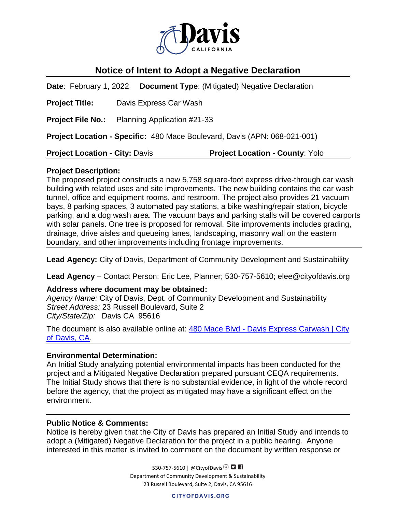

# **Notice of Intent to Adopt a Negative Declaration**

**Date**: February 1, 2022 **Document Type**: (Mitigated) Negative Declaration **Project Title:** Davis Express Car Wash **Project File No.:** Planning Application #21-33 **Project Location - Specific:** 480 Mace Boulevard, Davis (APN: 068-021-001) **Project Location - City:** Davis **Project Location - County**: Yolo

#### **Project Description:**

The proposed project constructs a new 5,758 square-foot express drive-through car wash building with related uses and site improvements. The new building contains the car wash tunnel, office and equipment rooms, and restroom. The project also provides 21 vacuum bays, 8 parking spaces, 3 automated pay stations, a bike washing/repair station, bicycle parking, and a dog wash area. The vacuum bays and parking stalls will be covered carports with solar panels. One tree is proposed for removal. Site improvements includes grading, drainage, drive aisles and queueing lanes, landscaping, masonry wall on the eastern boundary, and other improvements including frontage improvements.

**Lead Agency:** City of Davis, Department of Community Development and Sustainability

**Lead Agency** – Contact Person: Eric Lee, Planner; 530-757-5610; elee@cityofdavis.org

#### **Address where document may be obtained:**

*Agency Name:* City of Davis, Dept. of Community Development and Sustainability *Street Address:* 23 Russell Boulevard, Suite 2 *City/State/Zip:* Davis CA 95616

The document is also available online at: 480 Mace Blvd - Davis Express Carwash | City [of Davis, CA.](https://www.cityofdavis.org/city-hall/community-development-and-sustainability/development-projects/480-mace-blvd-davis-express-carwash)

#### **Environmental Determination:**

An Initial Study analyzing potential environmental impacts has been conducted for the project and a Mitigated Negative Declaration prepared pursuant CEQA requirements. The Initial Study shows that there is no substantial evidence, in light of the whole record before the agency, that the project as mitigated may have a significant effect on the environment.

## **Public Notice & Comments:**

Notice is hereby given that the City of Davis has prepared an Initial Study and intends to adopt a (Mitigated) Negative Declaration for the project in a public hearing. Anyone interested in this matter is invited to comment on the document by written response or

> 530-757-5610 | @CityofDavis <sup>O</sup> Department of Community Development & Sustainability 23 Russell Boulevard, Suite 2, Davis, CA 95616

> > **CITYOFDAVIS.ORG**